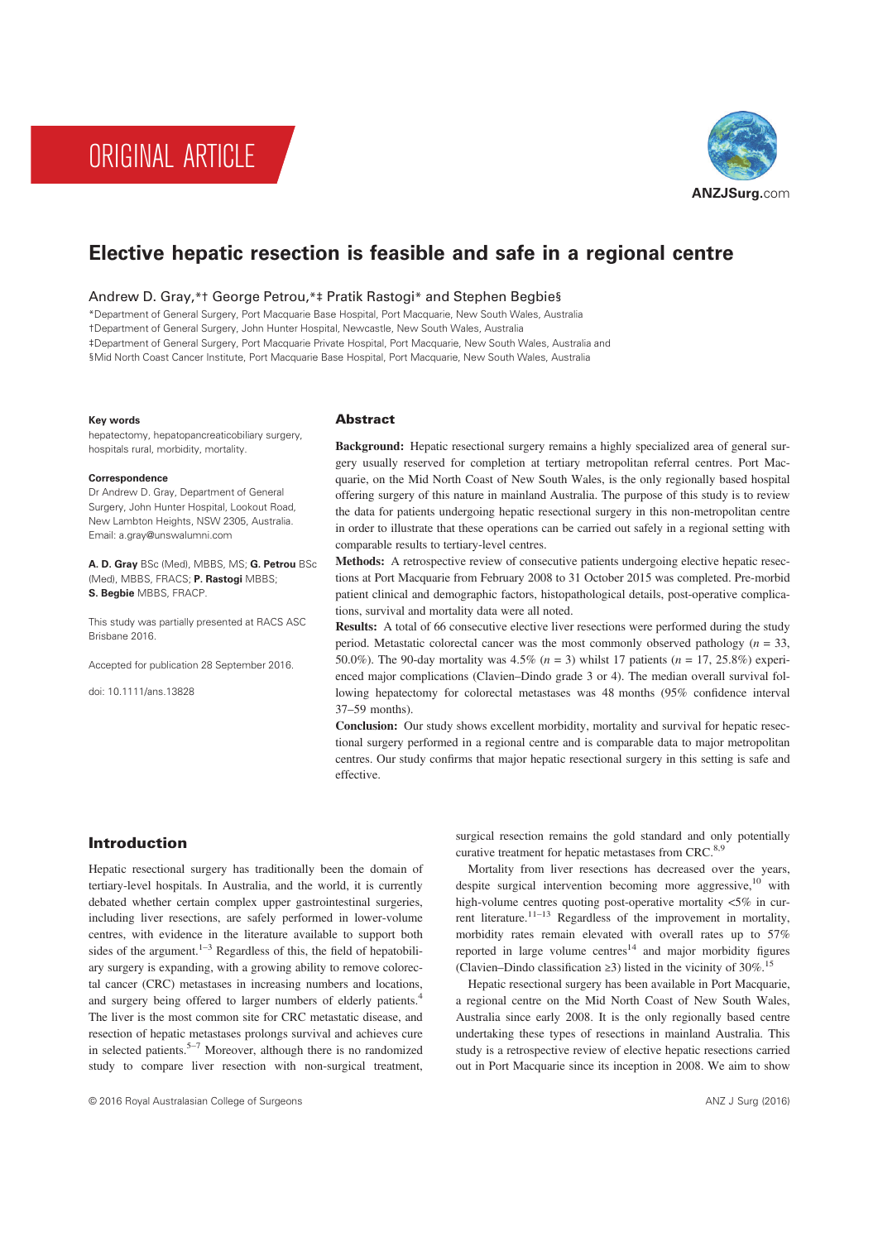

# **Elective hepatic resection is feasible and safe in a regional centre**

### Andrew D. Gray,\*† George Petrou,\*‡ Pratik Rastogi\* and Stephen Begbie§

\*Department of General Surgery, Port Macquarie Base Hospital, Port Macquarie, New South Wales, Australia †Department of General Surgery, John Hunter Hospital, Newcastle, New South Wales, Australia ‡Department of General Surgery, Port Macquarie Private Hospital, Port Macquarie, New South Wales, Australia and §Mid North Coast Cancer Institute, Port Macquarie Base Hospital, Port Macquarie, New South Wales, Australia

**Key words**

hepatectomy, hepatopancreaticobiliary surgery, hospitals rural, morbidity, mortality.

#### **Correspondence**

Dr Andrew D. Gray, Department of General Surgery, John Hunter Hospital, Lookout Road, New Lambton Heights, NSW 2305, Australia. Email: a.gray@unswalumni.com

**A. D. Gray** BSc (Med), MBBS, MS; **G. Petrou** BSc (Med), MBBS, FRACS; **P. Rastogi** MBBS; **S. Begbie** MBBS, FRACP.

This study was partially presented at RACS ASC Brisbane 2016.

Accepted for publication 28 September 2016.

doi: 10.1111/ans.13828

#### **Abstract**

**Background:** Hepatic resectional surgery remains a highly specialized area of general surgery usually reserved for completion at tertiary metropolitan referral centres. Port Macquarie, on the Mid North Coast of New South Wales, is the only regionally based hospital offering surgery of this nature in mainland Australia. The purpose of this study is to review the data for patients undergoing hepatic resectional surgery in this non-metropolitan centre in order to illustrate that these operations can be carried out safely in a regional setting with comparable results to tertiary-level centres.

**Methods:** A retrospective review of consecutive patients undergoing elective hepatic resections at Port Macquarie from February 2008 to 31 October 2015 was completed. Pre-morbid patient clinical and demographic factors, histopathological details, post-operative complications, survival and mortality data were all noted.

**Results:** A total of 66 consecutive elective liver resections were performed during the study period. Metastatic colorectal cancer was the most commonly observed pathology  $(n = 33,$ 50.0%). The 90-day mortality was 4.5% (*n* = 3) whilst 17 patients (*n* = 17, 25.8%) experienced major complications (Clavien–Dindo grade 3 or 4). The median overall survival following hepatectomy for colorectal metastases was 48 months (95% confidence interval 37–59 months).

**Conclusion:** Our study shows excellent morbidity, mortality and survival for hepatic resectional surgery performed in a regional centre and is comparable data to major metropolitan centres. Our study confirms that major hepatic resectional surgery in this setting is safe and effective.

Introduction

Hepatic resectional surgery has traditionally been the domain of tertiary-level hospitals. In Australia, and the world, it is currently debated whether certain complex upper gastrointestinal surgeries, including liver resections, are safely performed in lower-volume centres, with evidence in the literature available to support both sides of the argument.<sup>1–3</sup> Regardless of this, the field of hepatobiliary surgery is expanding, with a growing ability to remove colorectal cancer (CRC) metastases in increasing numbers and locations, and surgery being offered to larger numbers of elderly patients.<sup>4</sup> The liver is the most common site for CRC metastatic disease, and resection of hepatic metastases prolongs survival and achieves cure in selected patients.5–<sup>7</sup> Moreover, although there is no randomized study to compare liver resection with non-surgical treatment, surgical resection remains the gold standard and only potentially curative treatment for hepatic metastases from CRC.<sup>8,9</sup>

Mortality from liver resections has decreased over the years, despite surgical intervention becoming more aggressive,  $10$  with high-volume centres quoting post-operative mortality  $\langle 5\% \rangle$  in current literature.<sup>11–13</sup> Regardless of the improvement in mortality, morbidity rates remain elevated with overall rates up to 57% reported in large volume centres<sup>14</sup> and major morbidity figures (Clavien–Dindo classification ≥3) listed in the vicinity of 30%.<sup>15</sup>

Hepatic resectional surgery has been available in Port Macquarie, a regional centre on the Mid North Coast of New South Wales, Australia since early 2008. It is the only regionally based centre undertaking these types of resections in mainland Australia. This study is a retrospective review of elective hepatic resections carried out in Port Macquarie since its inception in 2008. We aim to show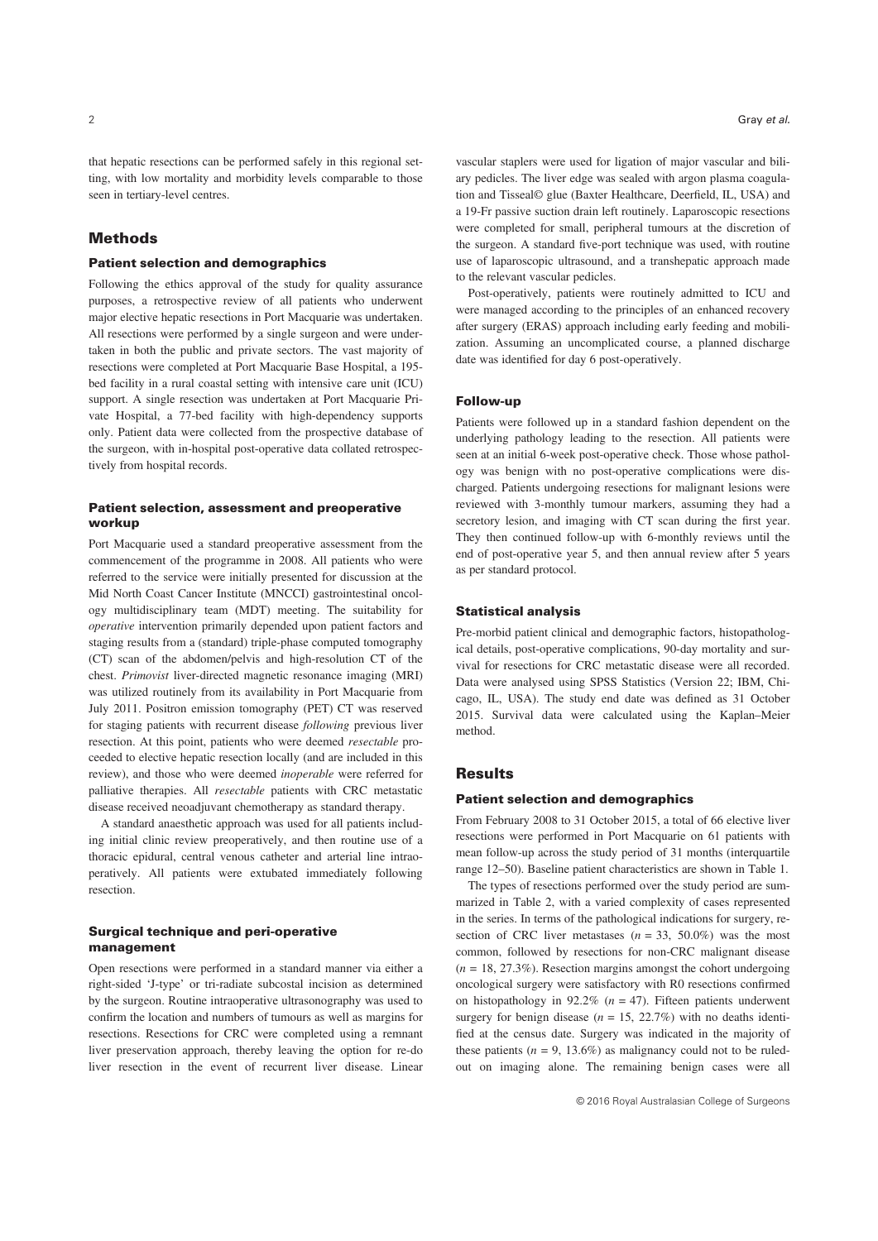that hepatic resections can be performed safely in this regional setting, with low mortality and morbidity levels comparable to those seen in tertiary-level centres.

### Methods

### Patient selection and demographics

Following the ethics approval of the study for quality assurance purposes, a retrospective review of all patients who underwent major elective hepatic resections in Port Macquarie was undertaken. All resections were performed by a single surgeon and were undertaken in both the public and private sectors. The vast majority of resections were completed at Port Macquarie Base Hospital, a 195 bed facility in a rural coastal setting with intensive care unit (ICU) support. A single resection was undertaken at Port Macquarie Private Hospital, a 77-bed facility with high-dependency supports only. Patient data were collected from the prospective database of the surgeon, with in-hospital post-operative data collated retrospectively from hospital records.

### Patient selection, assessment and preoperative workup

Port Macquarie used a standard preoperative assessment from the commencement of the programme in 2008. All patients who were referred to the service were initially presented for discussion at the Mid North Coast Cancer Institute (MNCCI) gastrointestinal oncology multidisciplinary team (MDT) meeting. The suitability for *operative* intervention primarily depended upon patient factors and staging results from a (standard) triple-phase computed tomography (CT) scan of the abdomen/pelvis and high-resolution CT of the chest. *Primovist* liver-directed magnetic resonance imaging (MRI) was utilized routinely from its availability in Port Macquarie from July 2011. Positron emission tomography (PET) CT was reserved for staging patients with recurrent disease *following* previous liver resection. At this point, patients who were deemed *resectable* proceeded to elective hepatic resection locally (and are included in this review), and those who were deemed *inoperable* were referred for palliative therapies. All *resectable* patients with CRC metastatic disease received neoadjuvant chemotherapy as standard therapy.

A standard anaesthetic approach was used for all patients including initial clinic review preoperatively, and then routine use of a thoracic epidural, central venous catheter and arterial line intraoperatively. All patients were extubated immediately following resection.

### Surgical technique and peri-operative management

Open resections were performed in a standard manner via either a right-sided 'J-type' or tri-radiate subcostal incision as determined by the surgeon. Routine intraoperative ultrasonography was used to confirm the location and numbers of tumours as well as margins for resections. Resections for CRC were completed using a remnant liver preservation approach, thereby leaving the option for re-do liver resection in the event of recurrent liver disease. Linear vascular staplers were used for ligation of major vascular and biliary pedicles. The liver edge was sealed with argon plasma coagulation and Tisseal© glue (Baxter Healthcare, Deerfield, IL, USA) and a 19-Fr passive suction drain left routinely. Laparoscopic resections were completed for small, peripheral tumours at the discretion of the surgeon. A standard five-port technique was used, with routine use of laparoscopic ultrasound, and a transhepatic approach made to the relevant vascular pedicles.

Post-operatively, patients were routinely admitted to ICU and were managed according to the principles of an enhanced recovery after surgery (ERAS) approach including early feeding and mobilization. Assuming an uncomplicated course, a planned discharge date was identified for day 6 post-operatively.

### Follow-up

Patients were followed up in a standard fashion dependent on the underlying pathology leading to the resection. All patients were seen at an initial 6-week post-operative check. Those whose pathology was benign with no post-operative complications were discharged. Patients undergoing resections for malignant lesions were reviewed with 3-monthly tumour markers, assuming they had a secretory lesion, and imaging with CT scan during the first year. They then continued follow-up with 6-monthly reviews until the end of post-operative year 5, and then annual review after 5 years as per standard protocol.

### Statistical analysis

Pre-morbid patient clinical and demographic factors, histopathological details, post-operative complications, 90-day mortality and survival for resections for CRC metastatic disease were all recorded. Data were analysed using SPSS Statistics (Version 22; IBM, Chicago, IL, USA). The study end date was defined as 31 October 2015. Survival data were calculated using the Kaplan–Meier method.

### Results

### Patient selection and demographics

From February 2008 to 31 October 2015, a total of 66 elective liver resections were performed in Port Macquarie on 61 patients with mean follow-up across the study period of 31 months (interquartile range 12–50). Baseline patient characteristics are shown in Table 1.

The types of resections performed over the study period are summarized in Table 2, with a varied complexity of cases represented in the series. In terms of the pathological indications for surgery, resection of CRC liver metastases  $(n = 33, 50.0\%)$  was the most common, followed by resections for non-CRC malignant disease  $(n = 18, 27.3\%)$ . Resection margins amongst the cohort undergoing oncological surgery were satisfactory with R0 resections confirmed on histopathology in 92.2% ( $n = 47$ ). Fifteen patients underwent surgery for benign disease  $(n = 15, 22.7%)$  with no deaths identified at the census date. Surgery was indicated in the majority of these patients ( $n = 9$ , 13.6%) as malignancy could not to be ruledout on imaging alone. The remaining benign cases were all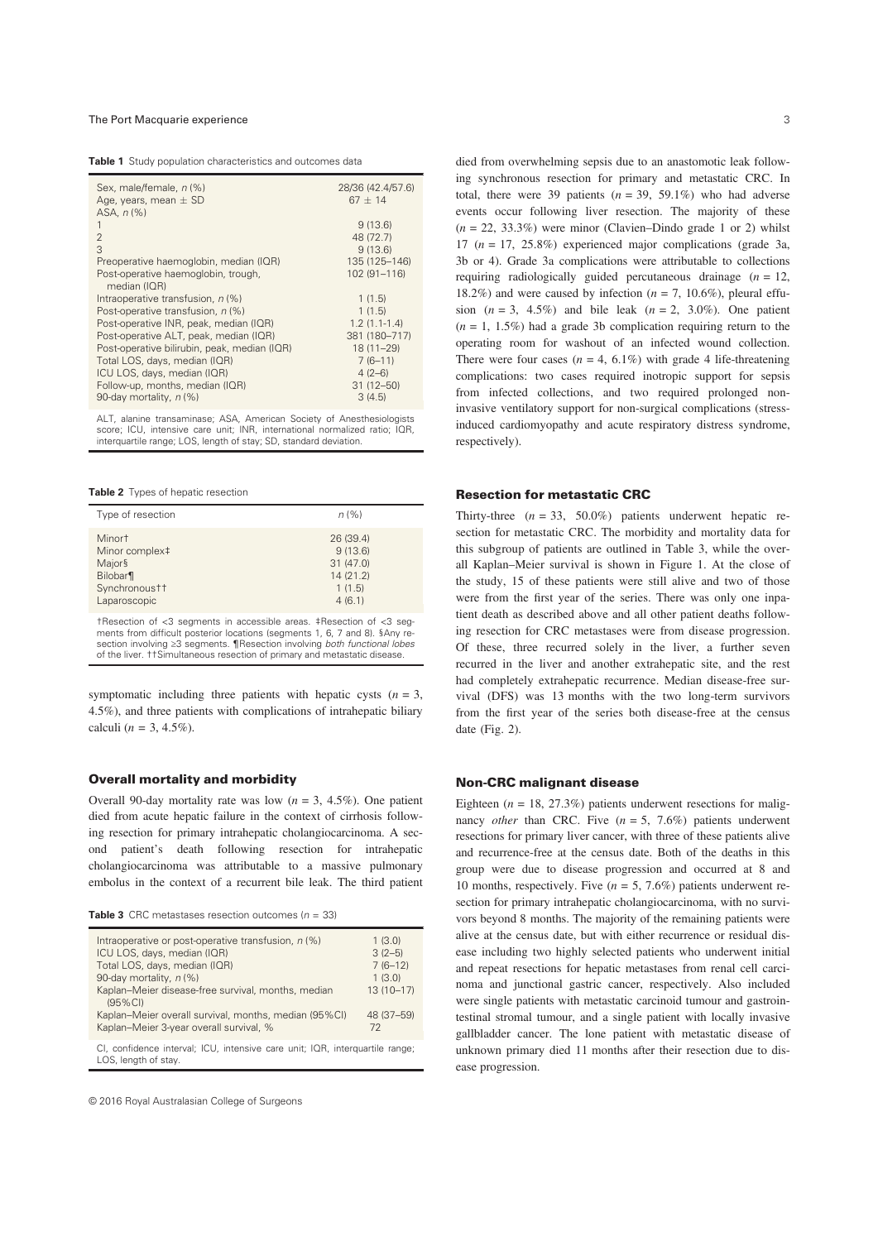#### The Port Macquarie experience 3

|  |  |  |  |  |  | <b>Table 1</b> Study population characteristics and outcomes data |  |
|--|--|--|--|--|--|-------------------------------------------------------------------|--|
|--|--|--|--|--|--|-------------------------------------------------------------------|--|

| ASA, n (%)                                                          |
|---------------------------------------------------------------------|
| 9(13.6)<br>1                                                        |
| 2<br>48 (72.7)                                                      |
| 3<br>9(13.6)                                                        |
| Preoperative haemoglobin, median (IQR)<br>135 (125-146)             |
| Post-operative haemoglobin, trough,<br>102 (91-116)<br>median (IQR) |
| Intraoperative transfusion, n (%)<br>1(1.5)                         |
| Post-operative transfusion, n (%)<br>1(1.5)                         |
| Post-operative INR, peak, median (IQR)<br>$1.2(1.1-1.4)$            |
| Post-operative ALT, peak, median (IQR)<br>381 (180-717)             |
| Post-operative bilirubin, peak, median (IQR)<br>$18(11 - 29)$       |
| Total LOS, days, median (IQR)<br>$7(6-11)$                          |
| ICU LOS, days, median (IQR)<br>$4(2-6)$                             |
| Follow-up, months, median (IQR)<br>$31(12 - 50)$                    |
| 90-day mortality, n (%)<br>3(4.5)                                   |

ALT, alanine transaminase; ASA, American Society of Anesthesiologists score; ICU, intensive care unit; INR, international normalized ratio; IQR, interquartile range; LOS, length of stay; SD, standard deviation.

|  |  |  |  | Table 2 Types of hepatic resection |
|--|--|--|--|------------------------------------|
|--|--|--|--|------------------------------------|

| Type of resection                                                                                 | n(% )                                                            |
|---------------------------------------------------------------------------------------------------|------------------------------------------------------------------|
| Minort<br>Minor complex‡<br>Major <sup>§</sup><br><b>Bilobar</b><br>Synchronoustt<br>Laparoscopic | 26 (39.4)<br>9(13.6)<br>31(47.0)<br>14(21.2)<br>1(1.5)<br>4(6.1) |

†Resection of <3 segments in accessible areas. ‡Resection of <3 segments from difficult posterior locations (segments 1, 6, 7 and 8). §Any resection involving ≥3 segments. ¶Resection involving both functional lobes of the liver. ††Simultaneous resection of primary and metastatic disease.

symptomatic including three patients with hepatic cysts  $(n = 3,$ 4.5%), and three patients with complications of intrahepatic biliary calculi ( $n = 3, 4.5\%$ ).

#### Overall mortality and morbidity

Overall 90-day mortality rate was low  $(n = 3, 4.5\%)$ . One patient died from acute hepatic failure in the context of cirrhosis following resection for primary intrahepatic cholangiocarcinoma. A second patient's death following resection for intrahepatic cholangiocarcinoma was attributable to a massive pulmonary embolus in the context of a recurrent bile leak. The third patient

**Table 3** CRC metastases resection outcomes  $(n = 33)$ 

| Intraoperative or post-operative transfusion, $n$ (%)<br>ICU LOS, days, median (IQR)<br>Total LOS, days, median (IQR)<br>90-day mortality, n (%)<br>Kaplan-Meier disease-free survival, months, median<br>(95%Cl)<br>Kaplan–Meier overall survival, months, median (95%CI)<br>Kaplan-Meier 3-year overall survival, % | 1(3.0)<br>$3(2-5)$<br>$7(6-12)$<br>1(3.0)<br>$13(10-17)$<br>48 (37-59)<br>72 |
|-----------------------------------------------------------------------------------------------------------------------------------------------------------------------------------------------------------------------------------------------------------------------------------------------------------------------|------------------------------------------------------------------------------|
| CI, confidence interval; ICU, intensive care unit; IQR, interguartile range;<br>LOS, length of stay.                                                                                                                                                                                                                  |                                                                              |

© 2016 Royal Australasian College of Surgeons

died from overwhelming sepsis due to an anastomotic leak following synchronous resection for primary and metastatic CRC. In total, there were 39 patients  $(n = 39, 59.1\%)$  who had adverse events occur following liver resection. The majority of these  $(n = 22, 33.3\%)$  were minor (Clavien–Dindo grade 1 or 2) whilst 17  $(n = 17, 25.8\%)$  experienced major complications (grade 3a, 3b or 4). Grade 3a complications were attributable to collections requiring radiologically guided percutaneous drainage  $(n = 12,$ 18.2%) and were caused by infection ( $n = 7$ , 10.6%), pleural effusion  $(n = 3, 4.5\%)$  and bile leak  $(n = 2, 3.0\%).$  One patient  $(n = 1, 1.5\%)$  had a grade 3b complication requiring return to the operating room for washout of an infected wound collection. There were four cases  $(n = 4, 6.1\%)$  with grade 4 life-threatening complications: two cases required inotropic support for sepsis from infected collections, and two required prolonged noninvasive ventilatory support for non-surgical complications (stressinduced cardiomyopathy and acute respiratory distress syndrome, respectively).

### Resection for metastatic CRC

Thirty-three  $(n = 33, 50.0\%)$  patients underwent hepatic resection for metastatic CRC. The morbidity and mortality data for this subgroup of patients are outlined in Table 3, while the overall Kaplan–Meier survival is shown in Figure 1. At the close of the study, 15 of these patients were still alive and two of those were from the first year of the series. There was only one inpatient death as described above and all other patient deaths following resection for CRC metastases were from disease progression. Of these, three recurred solely in the liver, a further seven recurred in the liver and another extrahepatic site, and the rest had completely extrahepatic recurrence. Median disease-free survival (DFS) was 13 months with the two long-term survivors from the first year of the series both disease-free at the census date (Fig. 2).

#### Non-CRC malignant disease

Eighteen ( $n = 18$ , 27.3%) patients underwent resections for malignancy *other* than CRC. Five (*n* = 5, 7.6%) patients underwent resections for primary liver cancer, with three of these patients alive and recurrence-free at the census date. Both of the deaths in this group were due to disease progression and occurred at 8 and 10 months, respectively. Five  $(n = 5, 7.6\%)$  patients underwent resection for primary intrahepatic cholangiocarcinoma, with no survivors beyond 8 months. The majority of the remaining patients were alive at the census date, but with either recurrence or residual disease including two highly selected patients who underwent initial and repeat resections for hepatic metastases from renal cell carcinoma and junctional gastric cancer, respectively. Also included were single patients with metastatic carcinoid tumour and gastrointestinal stromal tumour, and a single patient with locally invasive gallbladder cancer. The lone patient with metastatic disease of unknown primary died 11 months after their resection due to disease progression.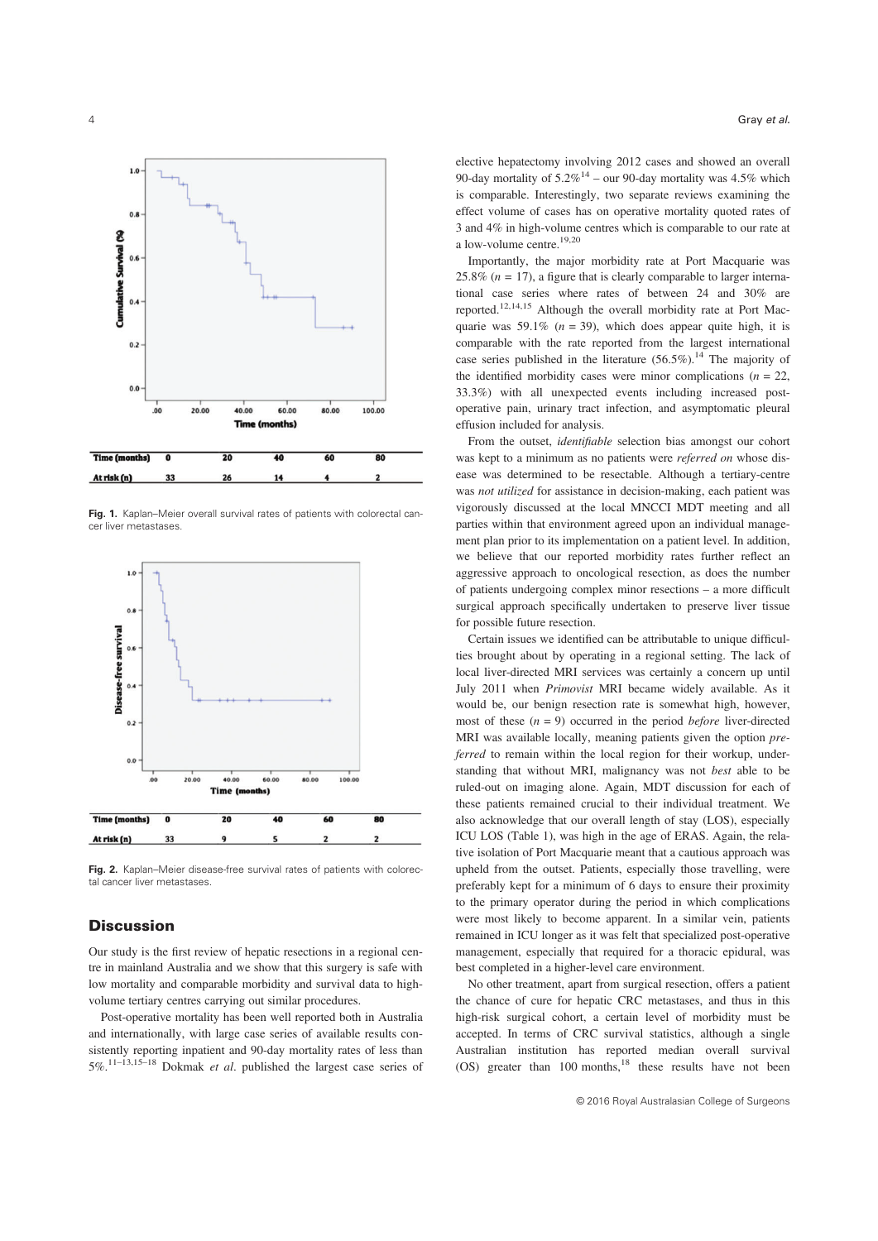

**Fig. 1.** Kaplan–Meier overall survival rates of patients with colorectal cancer liver metastases.



**Fig. 2.** Kaplan–Meier disease-free survival rates of patients with colorectal cancer liver metastases.

## **Discussion**

Our study is the first review of hepatic resections in a regional centre in mainland Australia and we show that this surgery is safe with low mortality and comparable morbidity and survival data to highvolume tertiary centres carrying out similar procedures.

Post-operative mortality has been well reported both in Australia and internationally, with large case series of available results consistently reporting inpatient and 90-day mortality rates of less than 5%.11–13,15–<sup>18</sup> Dokmak *et al*. published the largest case series of elective hepatectomy involving 2012 cases and showed an overall 90-day mortality of  $5.2\%^{14}$  – our 90-day mortality was 4.5% which is comparable. Interestingly, two separate reviews examining the effect volume of cases has on operative mortality quoted rates of 3 and 4% in high-volume centres which is comparable to our rate at a low-volume centre.19,20

Importantly, the major morbidity rate at Port Macquarie was 25.8%  $(n = 17)$ , a figure that is clearly comparable to larger international case series where rates of between 24 and 30% are reported.12,14,15 Although the overall morbidity rate at Port Macquarie was  $59.1\%$  ( $n = 39$ ), which does appear quite high, it is comparable with the rate reported from the largest international case series published in the literature  $(56.5\%)$ .<sup>14</sup> The majority of the identified morbidity cases were minor complications  $(n = 22)$ , 33.3%) with all unexpected events including increased postoperative pain, urinary tract infection, and asymptomatic pleural effusion included for analysis.

From the outset, *identifiable* selection bias amongst our cohort was kept to a minimum as no patients were *referred on* whose disease was determined to be resectable. Although a tertiary-centre was *not utilized* for assistance in decision-making, each patient was vigorously discussed at the local MNCCI MDT meeting and all parties within that environment agreed upon an individual management plan prior to its implementation on a patient level. In addition, we believe that our reported morbidity rates further reflect an aggressive approach to oncological resection, as does the number of patients undergoing complex minor resections – a more difficult surgical approach specifically undertaken to preserve liver tissue for possible future resection.

Certain issues we identified can be attributable to unique difficulties brought about by operating in a regional setting. The lack of local liver-directed MRI services was certainly a concern up until July 2011 when *Primovist* MRI became widely available. As it would be, our benign resection rate is somewhat high, however, most of these  $(n = 9)$  occurred in the period *before* liver-directed MRI was available locally, meaning patients given the option *preferred* to remain within the local region for their workup, understanding that without MRI, malignancy was not *best* able to be ruled-out on imaging alone. Again, MDT discussion for each of these patients remained crucial to their individual treatment. We also acknowledge that our overall length of stay (LOS), especially ICU LOS (Table 1), was high in the age of ERAS. Again, the relative isolation of Port Macquarie meant that a cautious approach was upheld from the outset. Patients, especially those travelling, were preferably kept for a minimum of 6 days to ensure their proximity to the primary operator during the period in which complications were most likely to become apparent. In a similar vein, patients remained in ICU longer as it was felt that specialized post-operative management, especially that required for a thoracic epidural, was best completed in a higher-level care environment.

No other treatment, apart from surgical resection, offers a patient the chance of cure for hepatic CRC metastases, and thus in this high-risk surgical cohort, a certain level of morbidity must be accepted. In terms of CRC survival statistics, although a single Australian institution has reported median overall survival (OS) greater than 100 months,<sup>18</sup> these results have not been